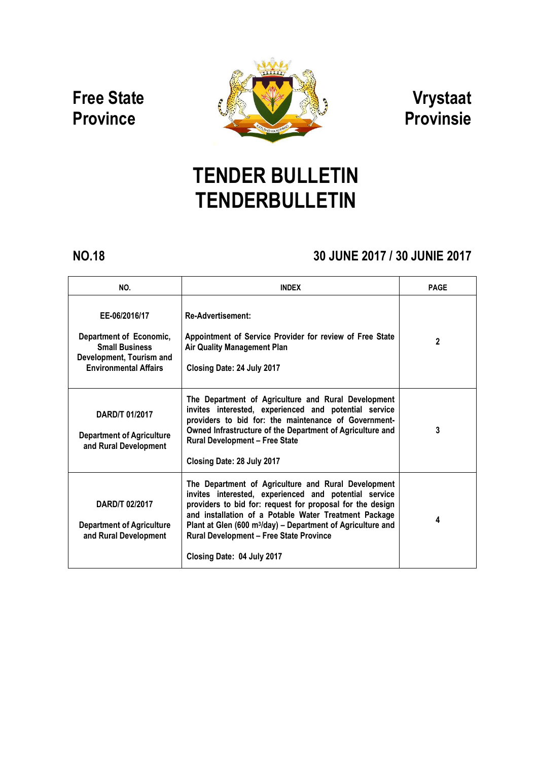# Free State **Province**



# Vrystaat Provinsie

# TENDER BULLETIN TENDERBULLETIN

## NO.18 30 JUNE 2017 / 30 JUNIE 2017

| NO.                                                                                                                           | <b>INDEX</b>                                                                                                                                                                                                                                                                                                                                                                                  | <b>PAGE</b> |
|-------------------------------------------------------------------------------------------------------------------------------|-----------------------------------------------------------------------------------------------------------------------------------------------------------------------------------------------------------------------------------------------------------------------------------------------------------------------------------------------------------------------------------------------|-------------|
| EE-06/2016/17<br>Department of Economic.<br><b>Small Business</b><br>Development, Tourism and<br><b>Environmental Affairs</b> | <b>Re-Advertisement:</b><br>Appointment of Service Provider for review of Free State<br><b>Air Quality Management Plan</b><br>Closing Date: 24 July 2017                                                                                                                                                                                                                                      | 2           |
| <b>DARD/T 01/2017</b><br><b>Department of Agriculture</b><br>and Rural Development                                            | The Department of Agriculture and Rural Development<br>invites interested, experienced and potential service<br>providers to bid for: the maintenance of Government-<br>Owned Infrastructure of the Department of Agriculture and<br><b>Rural Development - Free State</b><br>Closing Date: 28 July 2017                                                                                      | 3           |
| DARD/T 02/2017<br><b>Department of Agriculture</b><br>and Rural Development                                                   | The Department of Agriculture and Rural Development<br>invites interested, experienced and potential service<br>providers to bid for: request for proposal for the design<br>and installation of a Potable Water Treatment Package<br>Plant at Glen (600 m <sup>3</sup> /day) - Department of Agriculture and<br><b>Rural Development - Free State Province</b><br>Closing Date: 04 July 2017 | 4           |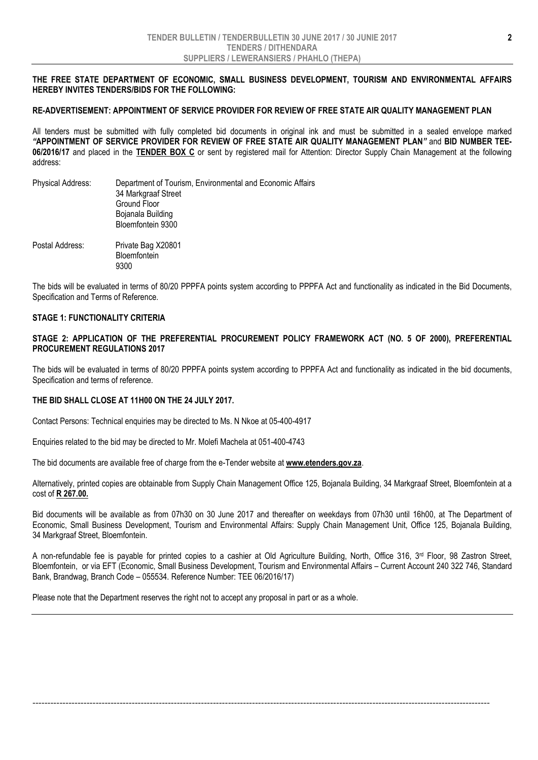#### THE FREE STATE DEPARTMENT OF ECONOMIC, SMALL BUSINESS DEVELOPMENT, TOURISM AND ENVIRONMENTAL AFFAIRS HEREBY INVITES TENDERS/BIDS FOR THE FOLLOWING:

#### RE-ADVERTISEMENT: APPOINTMENT OF SERVICE PROVIDER FOR REVIEW OF FREE STATE AIR QUALITY MANAGEMENT PLAN

All tenders must be submitted with fully completed bid documents in original ink and must be submitted in a sealed envelope marked *"*APPOINTMENT OF SERVICE PROVIDER FOR REVIEW OF FREE STATE AIR QUALITY MANAGEMENT PLAN*"* and BID NUMBER TEE-06/2016/17 and placed in the TENDER BOX C or sent by registered mail for Attention: Director Supply Chain Management at the following address:

Physical Address: Department of Tourism, Environmental and Economic Affairs 34 Markgraaf Street Ground Floor Bojanala Building Bloemfontein 9300 Postal Address: Private Bag X20801 **Bloemfontein** 9300

The bids will be evaluated in terms of 80/20 PPPFA points system according to PPPFA Act and functionality as indicated in the Bid Documents, Specification and Terms of Reference.

#### STAGE 1: FUNCTIONALITY CRITERIA

#### STAGE 2: APPLICATION OF THE PREFERENTIAL PROCUREMENT POLICY FRAMEWORK ACT (NO. 5 OF 2000), PREFERENTIAL PROCUREMENT REGULATIONS 2017

The bids will be evaluated in terms of 80/20 PPPFA points system according to PPPFA Act and functionality as indicated in the bid documents, Specification and terms of reference.

#### THE BID SHALL CLOSE AT 11H00 ON THE 24 JULY 2017.

Contact Persons: Technical enquiries may be directed to Ms. N Nkoe at 05-400-4917

Enquiries related to the bid may be directed to Mr. Molefi Machela at 051-400-4743

The bid documents are available free of charge from the e-Tender website at www.etenders.gov.za.

Alternatively, printed copies are obtainable from Supply Chain Management Office 125, Bojanala Building, 34 Markgraaf Street, Bloemfontein at a cost of R 267.00.

Bid documents will be available as from 07h30 on 30 June 2017 and thereafter on weekdays from 07h30 until 16h00, at The Department of Economic, Small Business Development, Tourism and Environmental Affairs: Supply Chain Management Unit, Office 125, Bojanala Building, 34 Markgraaf Street, Bloemfontein.

A non-refundable fee is payable for printed copies to a cashier at Old Agriculture Building, North, Office 316, 3rd Floor, 98 Zastron Street, Bloemfontein, or via EFT (Economic, Small Business Development, Tourism and Environmental Affairs – Current Account 240 322 746, Standard Bank, Brandwag, Branch Code – 055534. Reference Number: TEE 06/2016/17)

--------------------------------------------------------------------------------------------------------------------------------------------------------

Please note that the Department reserves the right not to accept any proposal in part or as a whole.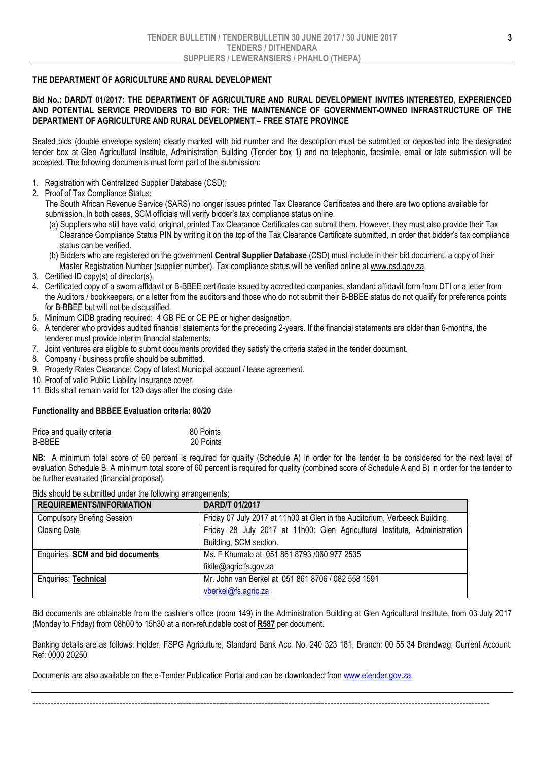#### THE DEPARTMENT OF AGRICULTURE AND RURAL DEVELOPMENT

#### Bid No.: DARD/T 01/2017: THE DEPARTMENT OF AGRICULTURE AND RURAL DEVELOPMENT INVITES INTERESTED, EXPERIENCED AND POTENTIAL SERVICE PROVIDERS TO BID FOR: THE MAINTENANCE OF GOVERNMENT-OWNED INFRASTRUCTURE OF THE DEPARTMENT OF AGRICULTURE AND RURAL DEVELOPMENT – FREE STATE PROVINCE

Sealed bids (double envelope system) clearly marked with bid number and the description must be submitted or deposited into the designated tender box at Glen Agricultural Institute, Administration Building (Tender box 1) and no telephonic, facsimile, email or late submission will be accepted. The following documents must form part of the submission:

- 1. Registration with Centralized Supplier Database (CSD);
- 2. Proof of Tax Compliance Status:

The South African Revenue Service (SARS) no longer issues printed Tax Clearance Certificates and there are two options available for submission. In both cases, SCM officials will verify bidder's tax compliance status online.

- (a) Suppliers who still have valid, original, printed Tax Clearance Certificates can submit them. However, they must also provide their Tax Clearance Compliance Status PIN by writing it on the top of the Tax Clearance Certificate submitted, in order that bidder's tax compliance status can be verified.
- (b) Bidders who are registered on the government Central Supplier Database (CSD) must include in their bid document, a copy of their Master Registration Number (supplier number). Tax compliance status will be verified online at www.csd.gov.za.
- 3. Certified ID copy(s) of director(s),
- 4. Certificated copy of a sworn affidavit or B-BBEE certificate issued by accredited companies, standard affidavit form from DTI or a letter from the Auditors / bookkeepers, or a letter from the auditors and those who do not submit their B-BBEE status do not qualify for preference points for B-BBEE but will not be disqualified.
- 5. Minimum CIDB grading required: 4 GB PE or CE PE or higher designation.
- 6. A tenderer who provides audited financial statements for the preceding 2-years. If the financial statements are older than 6-months, the tenderer must provide interim financial statements.
- 7. Joint ventures are eligible to submit documents provided they satisfy the criteria stated in the tender document.
- 8. Company / business profile should be submitted.
- 9. Property Rates Clearance: Copy of latest Municipal account / lease agreement.
- 10. Proof of valid Public Liability Insurance cover.
- 11. Bids shall remain valid for 120 days after the closing date

### Functionality and BBBEE Evaluation criteria: 80/20

| Price and quality criteria | 80 Points |
|----------------------------|-----------|
| B-BBEE                     | 20 Points |

NB: A minimum total score of 60 percent is required for quality (Schedule A) in order for the tender to be considered for the next level of evaluation Schedule B. A minimum total score of 60 percent is required for quality (combined score of Schedule A and B) in order for the tender to be further evaluated (financial proposal).

| <b>REQUIREMENTS/INFORMATION</b>         | DARD/T 01/2017                                                             |  |
|-----------------------------------------|----------------------------------------------------------------------------|--|
| <b>Compulsory Briefing Session</b>      | Friday 07 July 2017 at 11h00 at Glen in the Auditorium, Verbeeck Building. |  |
| <b>Closing Date</b>                     | Friday 28 July 2017 at 11h00: Glen Agricultural Institute, Administration  |  |
|                                         | Building, SCM section.                                                     |  |
| <b>Enquiries: SCM and bid documents</b> | Ms. F Khumalo at 051 861 8793 /060 977 2535                                |  |
|                                         | fikile@agric.fs.gov.za                                                     |  |
| Enquiries: Technical                    | Mr. John van Berkel at 051 861 8706 / 082 558 1591                         |  |
|                                         | vberkel@fs.agric.za                                                        |  |

Bids should be submitted under the following arrangements;

Bid documents are obtainable from the cashier's office (room 149) in the Administration Building at Glen Agricultural Institute, from 03 July 2017 (Monday to Friday) from 08h00 to 15h30 at a non-refundable cost of R587 per document.

Banking details are as follows: Holder: FSPG Agriculture, Standard Bank Acc. No. 240 323 181, Branch: 00 55 34 Brandwag; Current Account: Ref: 0000 20250

--------------------------------------------------------------------------------------------------------------------------------------------------------

Documents are also available on the e-Tender Publication Portal and can be downloaded from www.etender.gov.za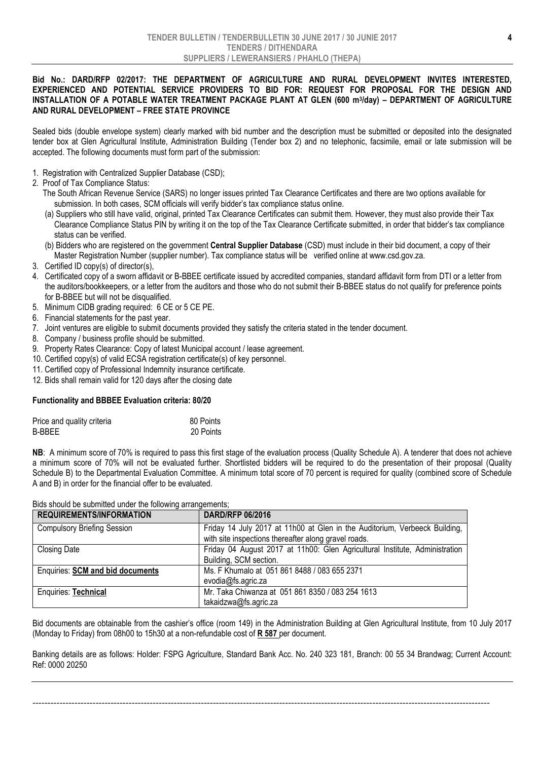#### Bid No.: DARD/RFP 02/2017: THE DEPARTMENT OF AGRICULTURE AND RURAL DEVELOPMENT INVITES INTERESTED, EXPERIENCED AND POTENTIAL SERVICE PROVIDERS TO BID FOR: REQUEST FOR PROPOSAL FOR THE DESIGN AND INSTALLATION OF A POTABLE WATER TREATMENT PACKAGE PLANT AT GLEN (600 m3/day) – DEPARTMENT OF AGRICULTURE AND RURAL DEVELOPMENT – FREE STATE PROVINCE

Sealed bids (double envelope system) clearly marked with bid number and the description must be submitted or deposited into the designated tender box at Glen Agricultural Institute, Administration Building (Tender box 2) and no telephonic, facsimile, email or late submission will be accepted. The following documents must form part of the submission:

- 1. Registration with Centralized Supplier Database (CSD);
- 2. Proof of Tax Compliance Status:
	- The South African Revenue Service (SARS) no longer issues printed Tax Clearance Certificates and there are two options available for submission. In both cases, SCM officials will verify bidder's tax compliance status online.
	- (a) Suppliers who still have valid, original, printed Tax Clearance Certificates can submit them. However, they must also provide their Tax Clearance Compliance Status PIN by writing it on the top of the Tax Clearance Certificate submitted, in order that bidder's tax compliance status can be verified.
	- (b) Bidders who are registered on the government Central Supplier Database (CSD) must include in their bid document, a copy of their Master Registration Number (supplier number). Tax compliance status will be verified online at www.csd.gov.za.
- 3. Certified ID copy(s) of director(s),
- 4. Certificated copy of a sworn affidavit or B-BBEE certificate issued by accredited companies, standard affidavit form from DTI or a letter from the auditors/bookkeepers, or a letter from the auditors and those who do not submit their B-BBEE status do not qualify for preference points for B-BBEE but will not be disqualified.
- 5. Minimum CIDB grading required: 6 CE or 5 CE PE.
- 6. Financial statements for the past year.
- 7. Joint ventures are eligible to submit documents provided they satisfy the criteria stated in the tender document.
- 8. Company / business profile should be submitted.
- 9. Property Rates Clearance: Copy of latest Municipal account / lease agreement.
- 10. Certified copy(s) of valid ECSA registration certificate(s) of key personnel.
- 11. Certified copy of Professional Indemnity insurance certificate.
- 12. Bids shall remain valid for 120 days after the closing date

#### Functionality and BBBEE Evaluation criteria: 80/20

| Price and quality criteria | 80 Points |
|----------------------------|-----------|
| B-BBEE                     | 20 Points |

NB: A minimum score of 70% is required to pass this first stage of the evaluation process (Quality Schedule A). A tenderer that does not achieve a minimum score of 70% will not be evaluated further. Shortlisted bidders will be required to do the presentation of their proposal (Quality Schedule B) to the Departmental Evaluation Committee. A minimum total score of 70 percent is required for quality (combined score of Schedule A and B) in order for the financial offer to be evaluated.

| <b>REQUIREMENTS/INFORMATION</b>         | <b>DARD/RFP 06/2016</b>                                                     |
|-----------------------------------------|-----------------------------------------------------------------------------|
| <b>Compulsory Briefing Session</b>      | Friday 14 July 2017 at 11h00 at Glen in the Auditorium, Verbeeck Building,  |
|                                         | with site inspections thereafter along gravel roads.                        |
| <b>Closing Date</b>                     | Friday 04 August 2017 at 11h00: Glen Agricultural Institute, Administration |
|                                         | Building, SCM section.                                                      |
| <b>Enquiries: SCM and bid documents</b> | Ms. F Khumalo at 051 861 8488 / 083 655 2371                                |
|                                         | evodia@fs.agric.za                                                          |
| Enquiries: Technical                    | Mr. Taka Chiwanza at 051 861 8350 / 083 254 1613                            |
|                                         | takaidzwa@fs.agric.za                                                       |

Bids should be submitted under the following arrangements;

Bid documents are obtainable from the cashier's office (room 149) in the Administration Building at Glen Agricultural Institute, from 10 July 2017 (Monday to Friday) from 08h00 to 15h30 at a non-refundable cost of R 587 per document.

Banking details are as follows: Holder: FSPG Agriculture, Standard Bank Acc. No. 240 323 181, Branch: 00 55 34 Brandwag; Current Account: Ref: 0000 20250

--------------------------------------------------------------------------------------------------------------------------------------------------------